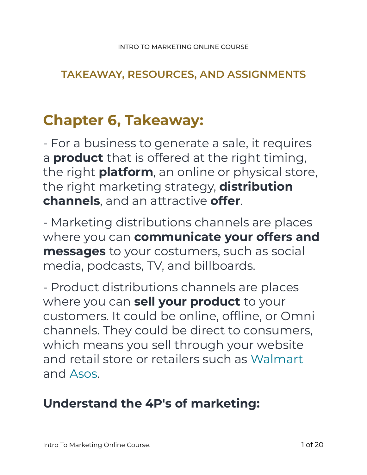#### **TAKEAWAY, RESOURCES, AND ASSIGNMENTS**

# **Chapter 6, Takeaway:**

- For a business to generate a sale, it requires a **product** that is offered at the right timing, the right **platform**, an online or physical store, the right marketing strategy, **distribution channels**, and an attractive **offer**.

- Marketing distributions channels are places where you can **communicate your offers and messages** to your costumers, such as social media, podcasts, TV, and billboards.

- Product distributions channels are places where you can **sell your product** to your customers. It could be online, offline, or Omni channels. They could be direct to consumers, which means you sell through your website and retail store or retailers such as Walmart and Asos.

#### **Understand the 4P's of marketing:**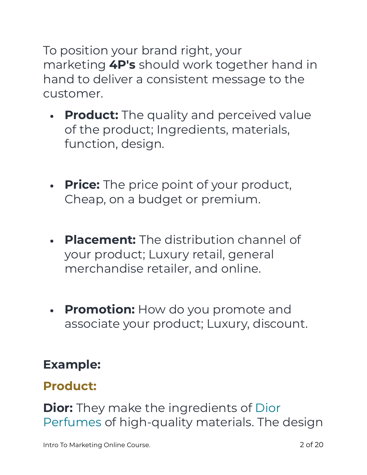To position your brand right, your marketing **4P's** should work together hand in hand to deliver a consistent message to the customer.

- **• Product:** The quality and perceived value of the product; Ingredients, materials, function, design.
- **• Price:** The price point of your product, Cheap, on a budget or premium.
- **• Placement:** The distribution channel of your product; Luxury retail, general merchandise retailer, and online.
- **• Promotion:** How do you promote and associate your product; Luxury, discount.

## **Example:**

## **Product:**

**Dior:** They make the ingredients of Dior Perfumes of high-quality materials. The design

Intro To Marketing Online Course. **2 of 20 and 2 of 20 and 2 of 20**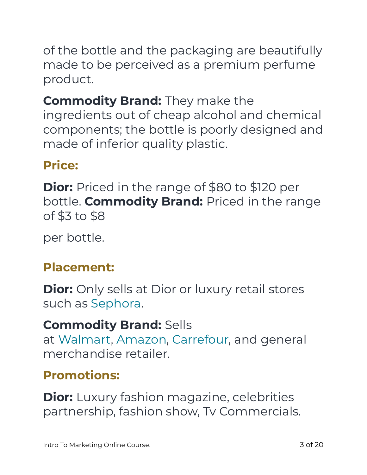of the bottle and the packaging are beautifully made to be perceived as a premium perfume product.

## **Commodity Brand:** They make the ingredients out of cheap alcohol and chemical components; the bottle is poorly designed and made of inferior quality plastic.

## **Price:**

**Dior:** Priced in the range of \$80 to \$120 per bottle. **Commodity Brand:** Priced in the range of \$3 to \$8

per bottle.

## **Placement:**

**Dior:** Only sells at Dior or luxury retail stores such as Sephora.

## **Commodity Brand:** Sells

at Walmart, Amazon, Carrefour, and general merchandise retailer.

## **Promotions:**

**Dior:** Luxury fashion magazine, celebrities partnership, fashion show, Tv Commercials.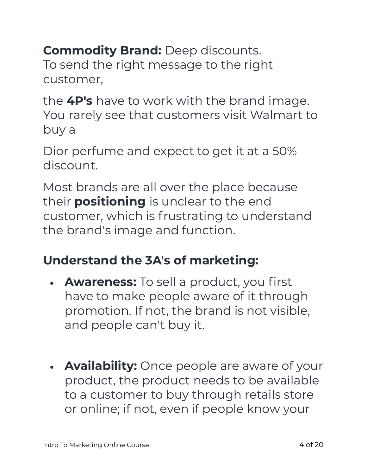**Commodity Brand: Deep discounts.** To send the right message to the right customer,

the **4P's** have to work with the brand image. You rarely see that customers visit Walmart to buy a

Dior perfume and expect to get it at a 50% discount.

Most brands are all over the place because their **positioning** is unclear to the end customer, which is frustrating to understand the brand's image and function.

#### **Understand the 3A's of marketing:**

- **• Awareness:** To sell a product, you first have to make people aware of it through promotion. If not, the brand is not visible, and people can't buy it.
- **• Availability:** Once people are aware of your product, the product needs to be available to a customer to buy through retails store or online; if not, even if people know your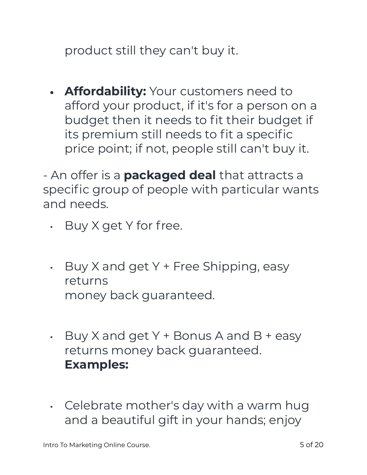product still they can't buy it.

**• Affordability:** Your customers need to afford your product, if it's for a person on a budget then it needs to fit their budget if its premium still needs to fit a specific price point; if not, people still can't buy it.

- An offer is a **packaged deal** that attracts a specific group of people with particular wants and needs.

- Buy X get Y for free.
- $\cdot$  Buy X and get Y + Free Shipping, easy returns money back guaranteed.
- $\cdot$  Buy X and get Y + Bonus A and B + easy returns money back guaranteed. **Examples:**
- Celebrate mother's day with a warm hug and a beautiful gift in your hands; enjoy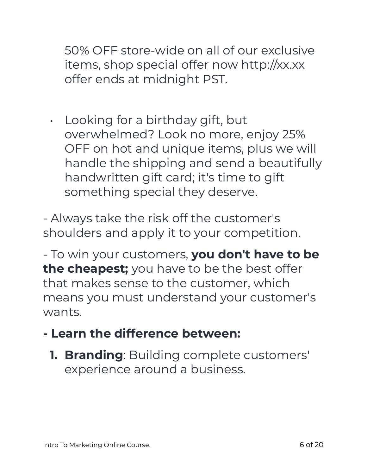50% OFF store-wide on all of our exclusive items, shop special offer now http://xx.xx offer ends at midnight PST.

• Looking for a birthday gift, but overwhelmed? Look no more, enjoy 25% OFF on hot and unique items, plus we will handle the shipping and send a beautifully handwritten gift card; it's time to gift something special they deserve.

- Always take the risk off the customer's shoulders and apply it to your competition.

- To win your customers, **you don't have to be the cheapest;** you have to be the best offer that makes sense to the customer, which means you must understand your customer's wants.

## **- Learn the difference between:**

**1. Branding**: Building complete customers' experience around a business.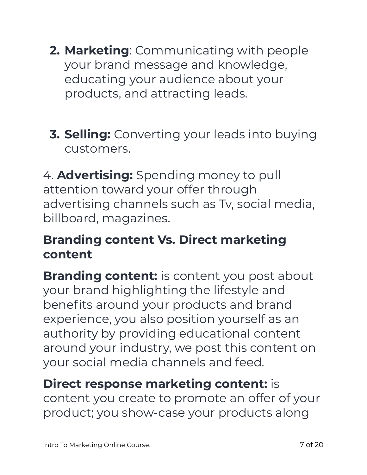- **2. Marketing**: Communicating with people your brand message and knowledge, educating your audience about your products, and attracting leads.
- **3. Selling:** Converting your leads into buying customers.

4. **Advertising:** Spending money to pull attention toward your offer through advertising channels such as Tv, social media, billboard, magazines.

#### **Branding content Vs. Direct marketing content**

**Branding content:** is content you post about your brand highlighting the lifestyle and benefits around your products and brand experience, you also position yourself as an authority by providing educational content around your industry, we post this content on your social media channels and feed.

**Direct response marketing content:** is content you create to promote an offer of your product; you show-case your products along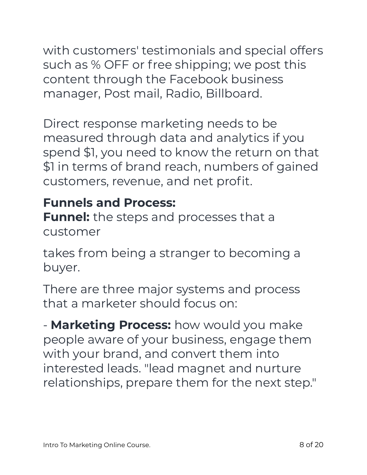with customers' testimonials and special offers such as % OFF or free shipping; we post this content through the Facebook business manager, Post mail, Radio, Billboard.

Direct response marketing needs to be measured through data and analytics if you spend \$1, you need to know the return on that \$1 in terms of brand reach, numbers of gained customers, revenue, and net profit.

## **Funnels and Process:**

**Funnel:** the steps and processes that a customer

takes from being a stranger to becoming a buyer.

There are three major systems and process that a marketer should focus on:

- **Marketing Process:** how would you make people aware of your business, engage them with your brand, and convert them into interested leads. "lead magnet and nurture relationships, prepare them for the next step."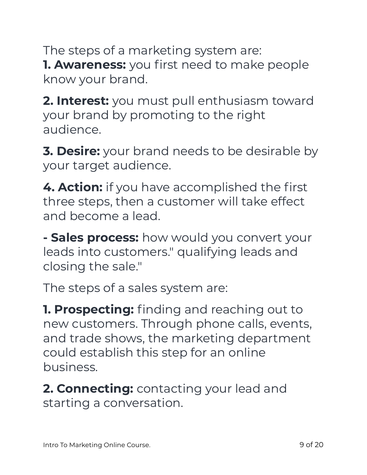The steps of a marketing system are: **1. Awareness:** you first need to make people know your brand.

**2. Interest:** you must pull enthusiasm toward your brand by promoting to the right audience.

**3. Desire:** your brand needs to be desirable by your target audience.

**4. Action:** if you have accomplished the first three steps, then a customer will take effect and become a lead.

**- Sales process:** how would you convert your leads into customers." qualifying leads and closing the sale."

The steps of a sales system are:

**1. Prospecting:** finding and reaching out to new customers. Through phone calls, events, and trade shows, the marketing department could establish this step for an online business.

**2. Connecting:** contacting your lead and starting a conversation.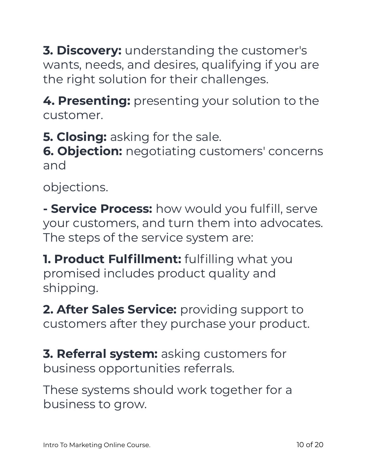**3. Discovery:** understanding the customer's wants, needs, and desires, qualifying if you are the right solution for their challenges.

**4. Presenting:** presenting your solution to the customer.

**5. Closing:** asking for the sale.

**6. Objection:** negotiating customers' concerns and

objections.

**- Service Process:** how would you fulfill, serve your customers, and turn them into advocates. The steps of the service system are:

**1. Product Fulfillment:** fulfilling what you promised includes product quality and shipping.

2. After Sales Service: providing support to customers after they purchase your product.

**3. Referral system:** asking customers for business opportunities referrals.

These systems should work together for a business to grow.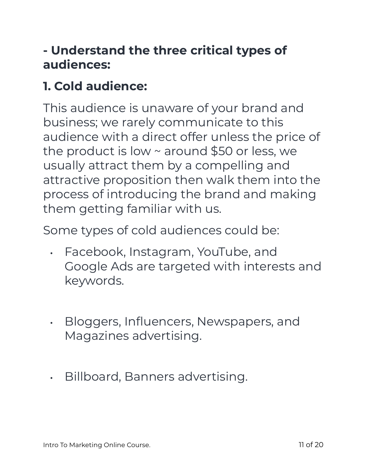## **- Understand the three critical types of audiences:**

## **1. Cold audience:**

This audience is unaware of your brand and business; we rarely communicate to this audience with a direct offer unless the price of the product is low ~ around \$50 or less, we usually attract them by a compelling and attractive proposition then walk them into the process of introducing the brand and making them getting familiar with us.

Some types of cold audiences could be:

- Facebook, Instagram, YouTube, and Google Ads are targeted with interests and keywords.
- Bloggers, Influencers, Newspapers, and Magazines advertising.
- Billboard, Banners advertising.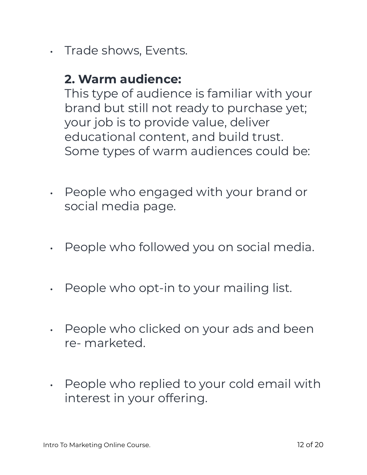• Trade shows, Events.

#### **2. Warm audience:**

This type of audience is familiar with your brand but still not ready to purchase yet; your job is to provide value, deliver educational content, and build trust. Some types of warm audiences could be:

- People who engaged with your brand or social media page.
- People who followed you on social media.
- People who opt-in to your mailing list.
- People who clicked on your ads and been re- marketed.
- People who replied to your cold email with interest in your offering.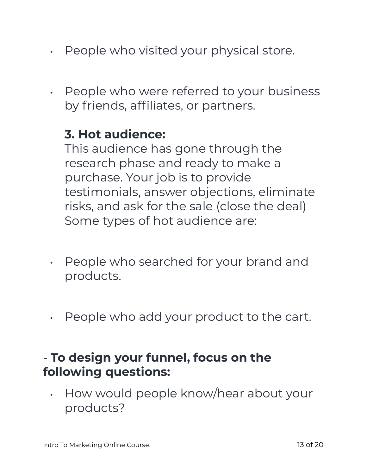- People who visited your physical store.
- People who were referred to your business by friends, affiliates, or partners.

#### **3. Hot audience:**

This audience has gone through the research phase and ready to make a purchase. Your job is to provide testimonials, answer objections, eliminate risks, and ask for the sale (close the deal) Some types of hot audience are:

- People who searched for your brand and products.
- People who add your product to the cart.

#### - **To design your funnel, focus on the following questions:**

• How would people know/hear about your products?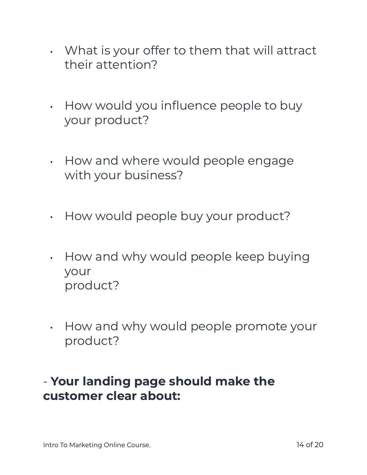- What is your offer to them that will attract their attention?
- How would you influence people to buy your product?
- How and where would people engage with your business?
- How would people buy your product?
- How and why would people keep buying your product?
- How and why would people promote your product?

#### - **Your landing page should make the customer clear about:**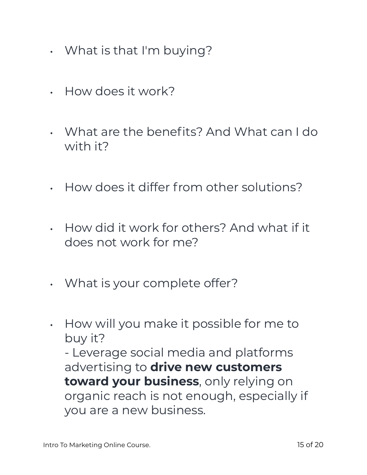- What is that I'm buying?
- How does it work?
- What are the benefits? And What can I do with it?
- How does it differ from other solutions?
- How did it work for others? And what if it does not work for me?
- What is your complete offer?
- How will you make it possible for me to buy it?

- Leverage social media and platforms advertising to **drive new customers toward your business**, only relying on organic reach is not enough, especially if you are a new business.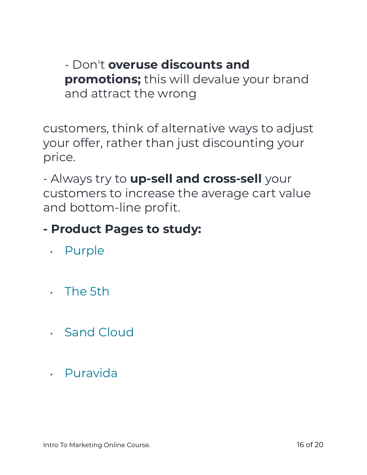- Don't **overuse discounts and promotions;** this will devalue your brand and attract the wrong

customers, think of alternative ways to adjust your offer, rather than just discounting your price.

- Always try to **up-sell and cross-sell** your customers to increase the average cart value and bottom-line profit.

## **- Product Pages to study:**

- Purple
- The 5th
- Sand Cloud
- Puravida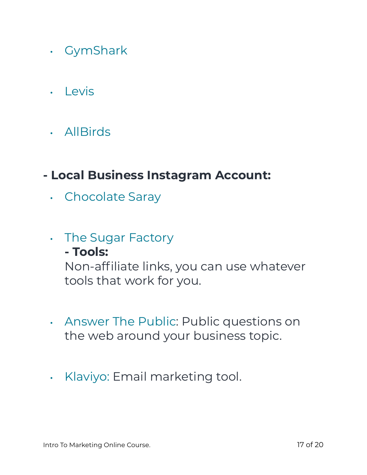- GymShark
- Levis
- AllBirds

#### **- Local Business Instagram Account:**

• Chocolate Saray

#### • The Sugar Factory

#### **- Tools:**

Non-affiliate links, you can use whatever tools that work for you.

- Answer The Public: Public questions on the web around your business topic.
- Klaviyo: Email marketing tool.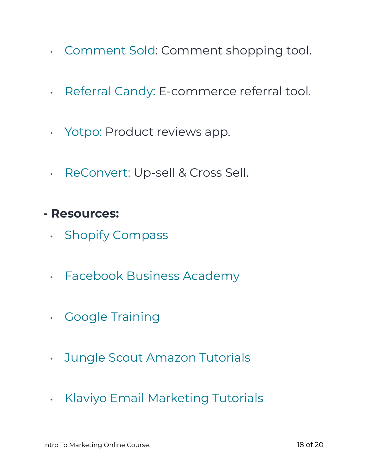- Comment Sold: Comment shopping tool.
- Referral Candy: E-commerce referral tool.
- Yotpo: Product reviews app.
- ReConvert: Up-sell & Cross Sell.
- **Resources:** 
	- Shopify Compass
	- Facebook Business Academy
	- Google Training
	- Jungle Scout Amazon Tutorials
	- Klaviyo Email Marketing Tutorials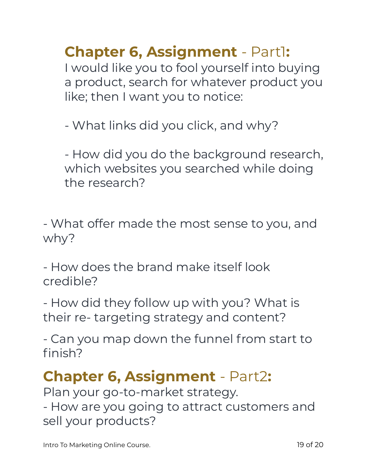**Chapter 6, Assignment** - Part1:

I would like you to fool yourself into buying a product, search for whatever product you like; then I want you to notice:

- What links did you click, and why?

- How did you do the background research, which websites you searched while doing the research?

- What offer made the most sense to you, and why?

- How does the brand make itself look credible?

- How did they follow up with you? What is their re- targeting strategy and content?

- Can you map down the funnel from start to finish?

# **Chapter 6, Assignment** - Part2**:**

Plan your go-to-market strategy. - How are you going to attract customers and sell your products?